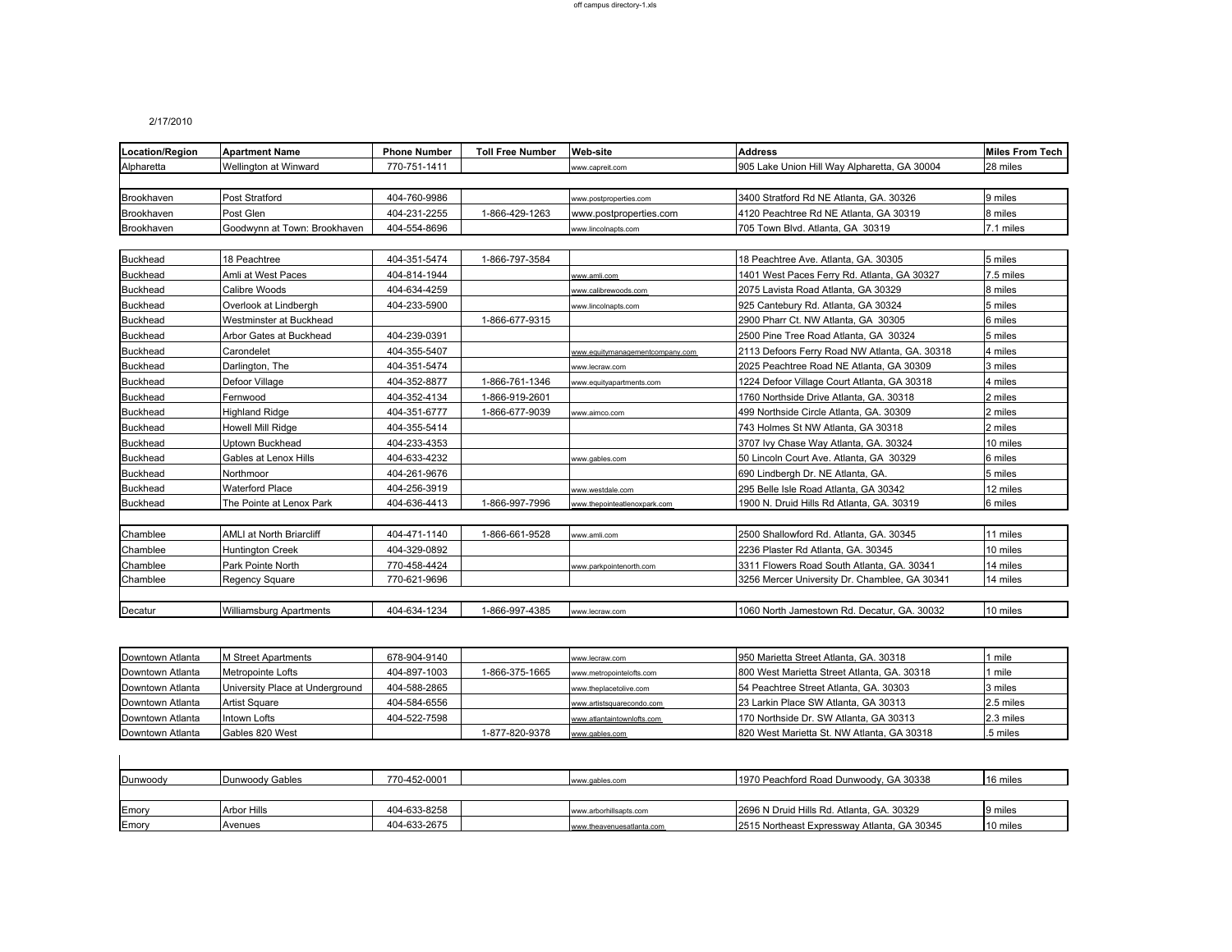## 2/17/2010

 $\overline{\phantom{a}}$ 

| <b>Location/Region</b> | <b>Apartment Name</b>           | <b>Phone Number</b> | <b>Toll Free Number</b> | <b>Web-site</b>                 | <b>Address</b>                                | <b>Miles From Tech</b> |
|------------------------|---------------------------------|---------------------|-------------------------|---------------------------------|-----------------------------------------------|------------------------|
| Alpharetta             | Wellington at Winward           | 770-751-1411        |                         | www.capreit.com                 | 905 Lake Union Hill Way Alpharetta, GA 30004  | 28 miles               |
|                        |                                 |                     |                         |                                 |                                               |                        |
| Brookhaven             | Post Stratford                  | 404-760-9986        |                         | www.postproperties.com          | 3400 Stratford Rd NE Atlanta, GA, 30326       | 9 miles                |
| Brookhaven             | Post Glen                       | 404-231-2255        | 1-866-429-1263          | www.postproperties.com          | 4120 Peachtree Rd NE Atlanta, GA 30319        | 8 miles                |
| Brookhaven             | Goodwynn at Town: Brookhaven    | 404-554-8696        |                         | www.lincolnapts.com             | 705 Town Blvd. Atlanta, GA 30319              | 7.1 miles              |
|                        |                                 |                     |                         |                                 |                                               |                        |
| <b>Buckhead</b>        | 18 Peachtree                    | 404-351-5474        | 1-866-797-3584          |                                 | 18 Peachtree Ave. Atlanta, GA. 30305          | 5 miles                |
| <b>Buckhead</b>        | Amli at West Paces              | 404-814-1944        |                         | www.amli.com                    | 1401 West Paces Ferry Rd. Atlanta, GA 30327   | 7.5 miles              |
| <b>Buckhead</b>        | Calibre Woods                   | 404-634-4259        |                         | www.calibrewoods.com            | 2075 Lavista Road Atlanta, GA 30329           | 8 miles                |
| <b>Buckhead</b>        | Overlook at Lindbergh           | 404-233-5900        |                         | www.lincolnapts.com             | 925 Cantebury Rd. Atlanta, GA 30324           | 5 miles                |
| <b>Buckhead</b>        | Westminster at Buckhead         |                     | 1-866-677-9315          |                                 | 2900 Pharr Ct. NW Atlanta, GA 30305           | 6 miles                |
| <b>Buckhead</b>        | Arbor Gates at Buckhead         | 404-239-0391        |                         |                                 | 2500 Pine Tree Road Atlanta, GA 30324         | 5 miles                |
| <b>Buckhead</b>        | Carondelet                      | 404-355-5407        |                         | www.equitymanagementcompany.com | 2113 Defoors Ferry Road NW Atlanta, GA, 30318 | 4 miles                |
| <b>Buckhead</b>        | Darlington, The                 | 404-351-5474        |                         | www.lecraw.com                  | 2025 Peachtree Road NE Atlanta, GA 30309      | 3 miles                |
| <b>Buckhead</b>        | Defoor Village                  | 404-352-8877        | 1-866-761-1346          | www.equityapartments.com        | 1224 Defoor Village Court Atlanta, GA 30318   | 4 miles                |
| <b>Buckhead</b>        | Fernwood                        | 404-352-4134        | 1-866-919-2601          |                                 | 1760 Northside Drive Atlanta, GA, 30318       | 2 miles                |
| <b>Buckhead</b>        | <b>Highland Ridge</b>           | 404-351-6777        | 1-866-677-9039          | www.aimco.com                   | 499 Northside Circle Atlanta, GA, 30309       | 2 miles                |
| <b>Buckhead</b>        | <b>Howell Mill Ridge</b>        | 404-355-5414        |                         |                                 | 743 Holmes St NW Atlanta, GA 30318            | 2 miles                |
| <b>Buckhead</b>        | Uptown Buckhead                 | 404-233-4353        |                         |                                 | 3707 Ivy Chase Way Atlanta, GA. 30324         | 10 miles               |
| <b>Buckhead</b>        | Gables at Lenox Hills           | 404-633-4232        |                         | www.gables.com                  | 50 Lincoln Court Ave. Atlanta, GA 30329       | 6 miles                |
| <b>Buckhead</b>        | Northmoor                       | 404-261-9676        |                         |                                 | 690 Lindbergh Dr. NE Atlanta, GA.             | 5 miles                |
| <b>Buckhead</b>        | <b>Waterford Place</b>          | 404-256-3919        |                         | www.westdale.com                | 295 Belle Isle Road Atlanta, GA 30342         | 12 miles               |
| <b>Buckhead</b>        | The Pointe at Lenox Park        | 404-636-4413        | 1-866-997-7996          | www.thepointeatlenoxpark.com    | 1900 N. Druid Hills Rd Atlanta, GA. 30319     | 6 miles                |
|                        |                                 |                     |                         |                                 |                                               |                        |
| Chamblee               | <b>AMLI at North Briarcliff</b> | 404-471-1140        | 1-866-661-9528          | www.amli.com                    | 2500 Shallowford Rd. Atlanta, GA. 30345       | 11 miles               |
| Chamblee               | <b>Huntington Creek</b>         | 404-329-0892        |                         |                                 | 2236 Plaster Rd Atlanta, GA. 30345            | 10 miles               |
| Chamblee               | Park Pointe North               | 770-458-4424        |                         | www.parkpointenorth.com         | 3311 Flowers Road South Atlanta, GA. 30341    | 14 miles               |
| Chamblee               | Regency Square                  | 770-621-9696        |                         |                                 | 3256 Mercer University Dr. Chamblee, GA 30341 | 14 miles               |
|                        |                                 |                     |                         |                                 |                                               |                        |
| Decatur                | <b>Williamsburg Apartments</b>  | 404-634-1234        | 1-866-997-4385          | www.lecraw.com                  | 1060 North Jamestown Rd. Decatur, GA. 30032   | 10 miles               |
|                        |                                 |                     |                         |                                 |                                               |                        |

| Downtown Atlanta | 1 Street Apartments             | 678-904-9140 |                | www.lecraw.com             | 950 Marietta Street Atlanta, GA. 30318      | 1 mile    |
|------------------|---------------------------------|--------------|----------------|----------------------------|---------------------------------------------|-----------|
| Downtown Atlanta | Metropointe Lofts               | 404-897-1003 | 1-866-375-1665 | www.metropointelofts.com   | 800 West Marietta Street Atlanta, GA. 30318 | 1 mile    |
| Downtown Atlanta | University Place at Underground | 404-588-2865 |                | www.theplacetolive.com     | 54 Peachtree Street Atlanta, GA. 30303      | 3 miles   |
| Downtown Atlanta | <b>Artist Square</b>            | 404-584-6556 |                | www.artistsquarecondo.com  | 23 Larkin Place SW Atlanta, GA 30313        | 2.5 miles |
| Downtown Atlanta | Intown Lofts                    | 404-522-7598 |                | www.atlantaintownlofts.com | 170 Northside Dr. SW Atlanta, GA 30313      | 2.3 miles |
| Downtown Atlanta | Gables 820 West                 |              | 1-877-820-9378 | www.gables.com             | 820 West Marietta St. NW Atlanta, GA 30318  | .5 miles  |

| Dunwoody | Dunwoody Gables    | 770-452-0001 | www.gables.com            | 1970 Peachford Road Dunwoody, GA 30338      | 16 miles |
|----------|--------------------|--------------|---------------------------|---------------------------------------------|----------|
|          |                    |              |                           |                                             |          |
| Emory    | <b>Arbor Hills</b> | 404-633-8258 | www.arborhillsapts.com    | 2696 N Druid Hills Rd. Atlanta, GA, 30329   | 9 miles  |
| Emory    | Avenues            | 404-633-2675 | www.theavenuesatlanta.com | 2515 Northeast Expressway Atlanta, GA 30345 | 10 miles |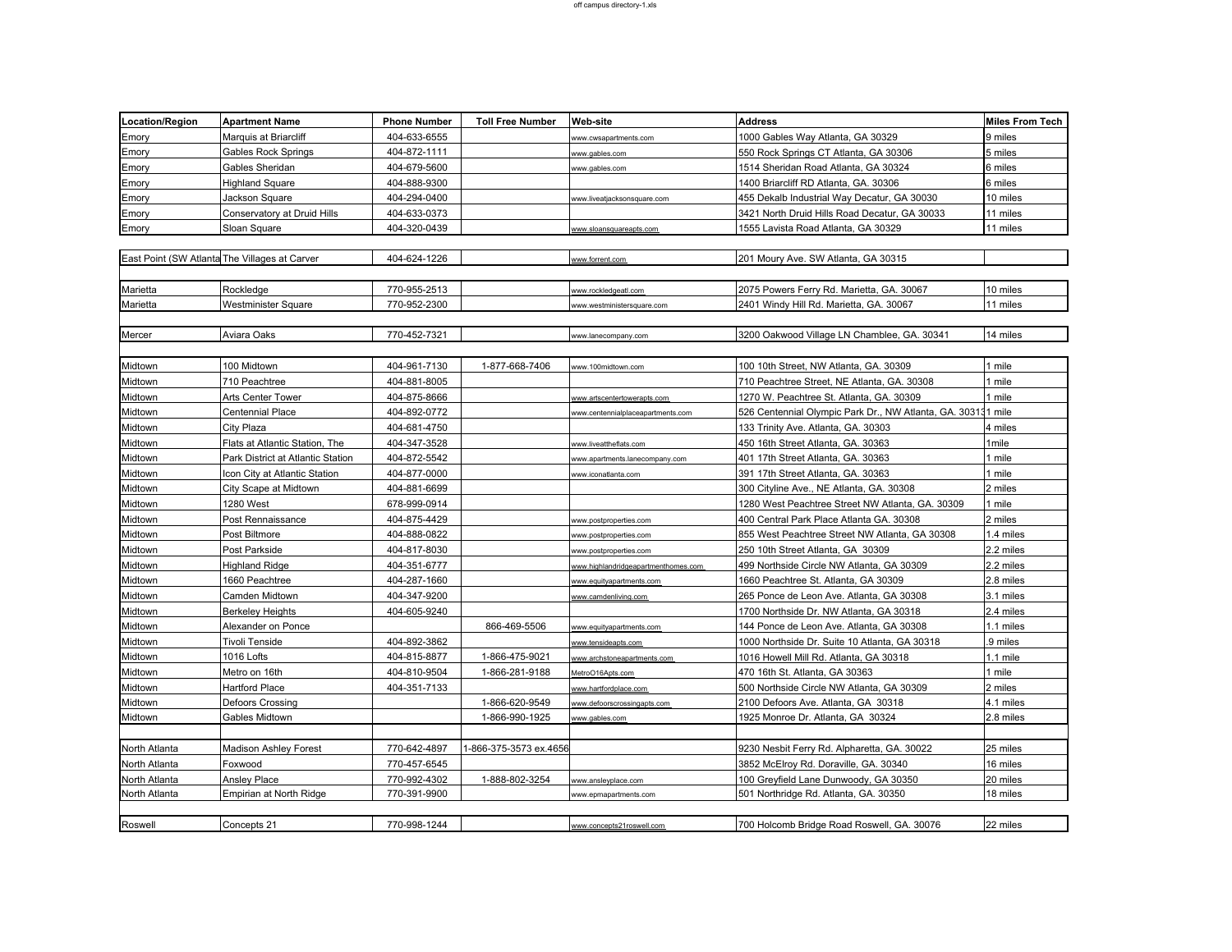| <b>Location/Region</b> | <b>Apartment Name</b>                         | <b>Phone Number</b>          | <b>Toll Free Number</b> | Web-site                            | <b>Address</b>                                               | Miles From Tech   |
|------------------------|-----------------------------------------------|------------------------------|-------------------------|-------------------------------------|--------------------------------------------------------------|-------------------|
| Emory                  | Marquis at Briarcliff                         | 404-633-6555                 |                         | www.cwsapartments.com               | 1000 Gables Way Atlanta, GA 30329                            | 9 miles           |
| Emory                  | Gables Rock Springs                           | 404-872-1111                 |                         | www.gables.com                      | 550 Rock Springs CT Atlanta, GA 30306                        | 5 miles           |
| Emory                  | Gables Sheridan                               | 404-679-5600                 |                         | www.gables.com                      | 1514 Sheridan Road Atlanta, GA 30324                         | 6 miles           |
| Emory                  | Highland Square                               | 404-888-9300                 |                         |                                     | 1400 Briarcliff RD Atlanta, GA. 30306                        | 3 miles           |
| Emory                  | Jackson Square                                | 404-294-0400                 |                         | www.liveatjacksonsquare.com         | 455 Dekalb Industrial Way Decatur, GA 30030                  | 10 miles          |
| Emory                  | Conservatory at Druid Hills                   | 404-633-0373                 |                         |                                     | 3421 North Druid Hills Road Decatur, GA 30033                | 11 miles          |
| Emory                  | Sloan Square                                  | 404-320-0439                 |                         | www.sloansquareapts.com             | 1555 Lavista Road Atlanta, GA 30329                          | 11 miles          |
|                        |                                               |                              |                         |                                     |                                                              |                   |
|                        | East Point (SW Atlanta The Villages at Carver | 404-624-1226                 |                         | www.forrent.com                     | 201 Moury Ave. SW Atlanta, GA 30315                          |                   |
|                        |                                               |                              |                         |                                     |                                                              |                   |
| Marietta               | Rockledge                                     | 770-955-2513                 |                         | www.rockledgeatl.com                | 2075 Powers Ferry Rd. Marietta, GA. 30067                    | 10 miles          |
| Marietta               | Westminister Square                           | 770-952-2300                 |                         | www.westministersquare.com          | 2401 Windy Hill Rd. Marietta, GA. 30067                      | 11 miles          |
|                        |                                               |                              |                         |                                     |                                                              |                   |
| Mercer                 | Aviara Oaks                                   | 770-452-7321                 |                         | www.lanecompany.com                 | 3200 Oakwood Village LN Chamblee, GA. 30341                  | 14 miles          |
|                        |                                               |                              |                         |                                     |                                                              |                   |
| Midtown                | 100 Midtown                                   | 404-961-7130                 | 1-877-668-7406          | www.100midtown.com                  | 100 10th Street, NW Atlanta, GA. 30309                       | 1 mile            |
| Midtown                | 710 Peachtree                                 | 404-881-8005                 |                         |                                     | 710 Peachtree Street, NE Atlanta, GA. 30308                  | 1 mile            |
| Midtown                | Arts Center Tower                             | 404-875-8666                 |                         | www.artscentertowerapts.com         | 1270 W. Peachtree St. Atlanta, GA. 30309                     | 1 mile            |
| Midtown                | <b>Centennial Place</b>                       | 404-892-0772                 |                         | www.centennialplaceapartments.com   | 526 Centennial Olympic Park Dr., NW Atlanta, GA. 303131 mile |                   |
| Midtown                | City Plaza                                    | 404-681-4750                 |                         |                                     | 133 Trinity Ave. Atlanta, GA. 30303                          | 4 miles           |
| Midtown                | Flats at Atlantic Station, The                | 404-347-3528                 |                         | vww.liveattheflats.com              | 450 16th Street Atlanta, GA. 30363                           | 1mile             |
| Midtown                | Park District at Atlantic Station             | 404-872-5542                 |                         | www.apartments.lanecompany.com      | 401 17th Street Atlanta, GA. 30363                           | 1 mile            |
|                        |                                               |                              |                         |                                     |                                                              |                   |
| Midtown                | Icon City at Atlantic Station                 | 404-877-0000                 |                         | www.iconatlanta.com                 | 391 17th Street Atlanta, GA. 30363                           | 1 mile            |
| Midtown                | City Scape at Midtown<br>1280 West            | 404-881-6699<br>678-999-0914 |                         |                                     | 300 Cityline Ave., NE Atlanta, GA. 30308                     | 2 miles<br>1 mile |
| Midtown                |                                               |                              |                         |                                     | 1280 West Peachtree Street NW Atlanta, GA. 30309             |                   |
| Midtown                | Post Rennaissance                             | 404-875-4429                 |                         | www.postproperties.com              | 400 Central Park Place Atlanta GA. 30308                     | 2 miles           |
| Midtown                | Post Biltmore                                 | 404-888-0822                 |                         | www.postproperties.com              | 855 West Peachtree Street NW Atlanta, GA 30308               | 1.4 miles         |
| Midtown                | Post Parkside                                 | 404-817-8030                 |                         | www.postproperties.com              | 250 10th Street Atlanta, GA 30309                            | 2.2 miles         |
| Midtown                | <b>Highland Ridge</b>                         | 404-351-6777                 |                         | www.highlandridgeapartmenthomes.com | 499 Northside Circle NW Atlanta, GA 30309                    | 2.2 miles         |
| Midtown                | 1660 Peachtree                                | 404-287-1660                 |                         | www.equityapartments.com            | 1660 Peachtree St. Atlanta, GA 30309                         | 2.8 miles         |
| Midtown                | Camden Midtown                                | 404-347-9200                 |                         | www.camdenliving.com                | 265 Ponce de Leon Ave. Atlanta, GA 30308                     | 3.1 miles         |
| Midtown                | <b>Berkeley Heights</b>                       | 404-605-9240                 |                         |                                     | 1700 Northside Dr. NW Atlanta, GA 30318                      | 2.4 miles         |
| Midtown                | Alexander on Ponce                            |                              | 866-469-5506            | www.equityapartments.com            | 144 Ponce de Leon Ave. Atlanta, GA 30308                     | 1.1 miles         |
| Midtown                | Tivoli Tenside                                | 404-892-3862                 |                         | www.tensideapts.com                 | 1000 Northside Dr. Suite 10 Atlanta, GA 30318                | .9 miles          |
| Midtown                | 1016 Lofts                                    | 404-815-8877                 | 1-866-475-9021          | www.archstoneapartments.com         | 1016 Howell Mill Rd. Atlanta, GA 30318                       | 1.1 mile          |
| Midtown                | Metro on 16th                                 | 404-810-9504                 | 1-866-281-9188          | MetroO16Apts.com                    | 470 16th St. Atlanta, GA 30363                               | 1 mile            |
| Midtown                | Hartford Place                                | 404-351-7133                 |                         | www.hartfordplace.com               | 500 Northside Circle NW Atlanta, GA 30309                    | 2 miles           |
| Midtown                | <b>Defoors Crossing</b>                       |                              | 1-866-620-9549          | www.defoorscrossingapts.com         | 2100 Defoors Ave. Atlanta, GA 30318                          | 4.1 miles         |
| Midtown                | Gables Midtown                                |                              | 1-866-990-1925          | www.gables.com                      | 1925 Monroe Dr. Atlanta, GA 30324                            | 2.8 miles         |
|                        |                                               |                              |                         |                                     |                                                              |                   |
| North Atlanta          | Madison Ashley Forest                         | 770-642-4897                 | -866-375-3573 ex.4656   |                                     | 9230 Nesbit Ferry Rd. Alpharetta, GA. 30022                  | 25 miles          |
| North Atlanta          | Foxwood                                       | 770-457-6545                 |                         |                                     | 3852 McElroy Rd. Doraville, GA. 30340                        | 16 miles          |
| North Atlanta          | <b>Ansley Place</b>                           | 770-992-4302                 | 1-888-802-3254          | www.ansleyplace.com                 | 100 Greyfield Lane Dunwoody, GA 30350                        | 20 miles          |
| North Atlanta          | Empirian at North Ridge                       | 770-391-9900                 |                         | www.epmapartments.com               | 501 Northridge Rd. Atlanta, GA. 30350                        | 18 miles          |
|                        |                                               |                              |                         |                                     |                                                              |                   |
| Roswell                | Concepts 21                                   | 770-998-1244                 |                         | www.concepts21roswell.com           | 700 Holcomb Bridge Road Roswell, GA, 30076                   | 22 miles          |